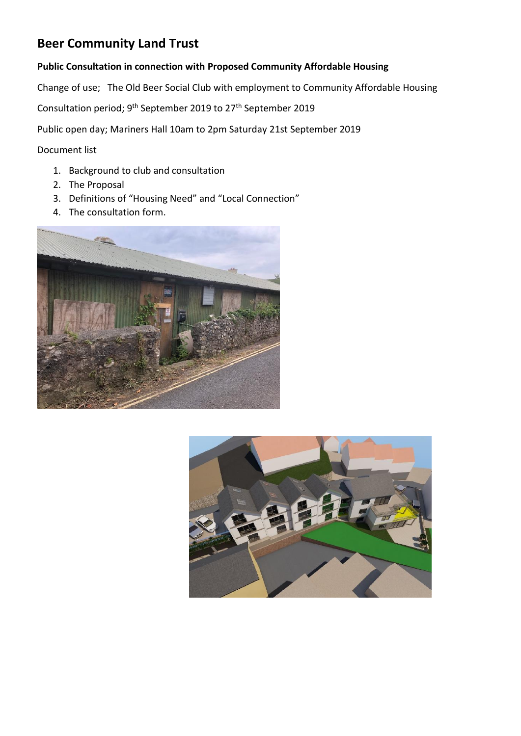# **Beer Community Land Trust**

## **Public Consultation in connection with Proposed Community Affordable Housing**

Change of use; The Old Beer Social Club with employment to Community Affordable Housing

Consultation period; 9<sup>th</sup> September 2019 to 27<sup>th</sup> September 2019

Public open day; Mariners Hall 10am to 2pm Saturday 21st September 2019

Document list

- 1. Background to club and consultation
- 2. The Proposal
- 3. Definitions of "Housing Need" and "Local Connection"
- 4. The consultation form.



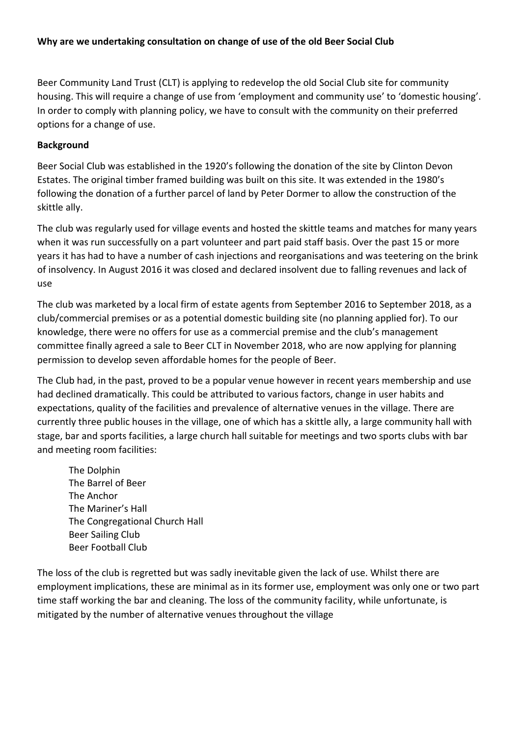# **Why are we undertaking consultation on change of use of the old Beer Social Club**

Beer Community Land Trust (CLT) is applying to redevelop the old Social Club site for community housing. This will require a change of use from 'employment and community use' to 'domestic housing'. In order to comply with planning policy, we have to consult with the community on their preferred options for a change of use.

## **Background**

Beer Social Club was established in the 1920's following the donation of the site by Clinton Devon Estates. The original timber framed building was built on this site. It was extended in the 1980's following the donation of a further parcel of land by Peter Dormer to allow the construction of the skittle ally.

The club was regularly used for village events and hosted the skittle teams and matches for many years when it was run successfully on a part volunteer and part paid staff basis. Over the past 15 or more years it has had to have a number of cash injections and reorganisations and was teetering on the brink of insolvency. In August 2016 it was closed and declared insolvent due to falling revenues and lack of use

The club was marketed by a local firm of estate agents from September 2016 to September 2018, as a club/commercial premises or as a potential domestic building site (no planning applied for). To our knowledge, there were no offers for use as a commercial premise and the club's management committee finally agreed a sale to Beer CLT in November 2018, who are now applying for planning permission to develop seven affordable homes for the people of Beer.

The Club had, in the past, proved to be a popular venue however in recent years membership and use had declined dramatically. This could be attributed to various factors, change in user habits and expectations, quality of the facilities and prevalence of alternative venues in the village. There are currently three public houses in the village, one of which has a skittle ally, a large community hall with stage, bar and sports facilities, a large church hall suitable for meetings and two sports clubs with bar and meeting room facilities:

The Dolphin The Barrel of Beer The Anchor The Mariner's Hall The Congregational Church Hall Beer Sailing Club Beer Football Club

The loss of the club is regretted but was sadly inevitable given the lack of use. Whilst there are employment implications, these are minimal as in its former use, employment was only one or two part time staff working the bar and cleaning. The loss of the community facility, while unfortunate, is mitigated by the number of alternative venues throughout the village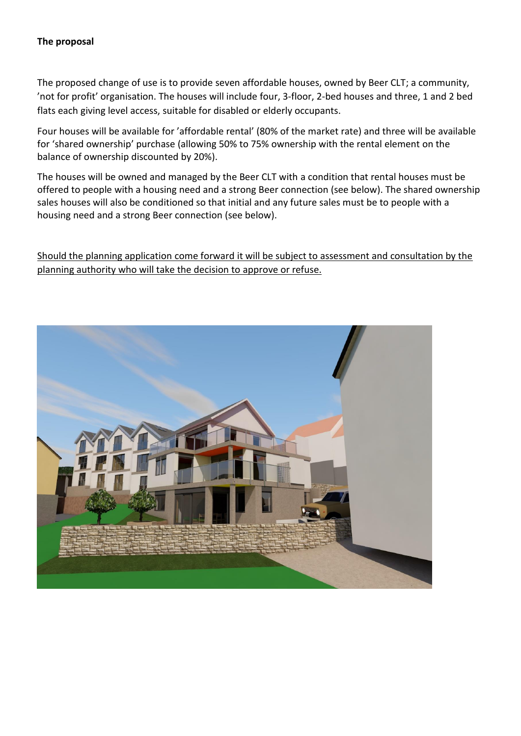## **The proposal**

The proposed change of use is to provide seven affordable houses, owned by Beer CLT; a community, 'not for profit' organisation. The houses will include four, 3-floor, 2-bed houses and three, 1 and 2 bed flats each giving level access, suitable for disabled or elderly occupants.

Four houses will be available for 'affordable rental' (80% of the market rate) and three will be available for 'shared ownership' purchase (allowing 50% to 75% ownership with the rental element on the balance of ownership discounted by 20%).

The houses will be owned and managed by the Beer CLT with a condition that rental houses must be offered to people with a housing need and a strong Beer connection (see below). The shared ownership sales houses will also be conditioned so that initial and any future sales must be to people with a housing need and a strong Beer connection (see below).

Should the planning application come forward it will be subject to assessment and consultation by the planning authority who will take the decision to approve or refuse.

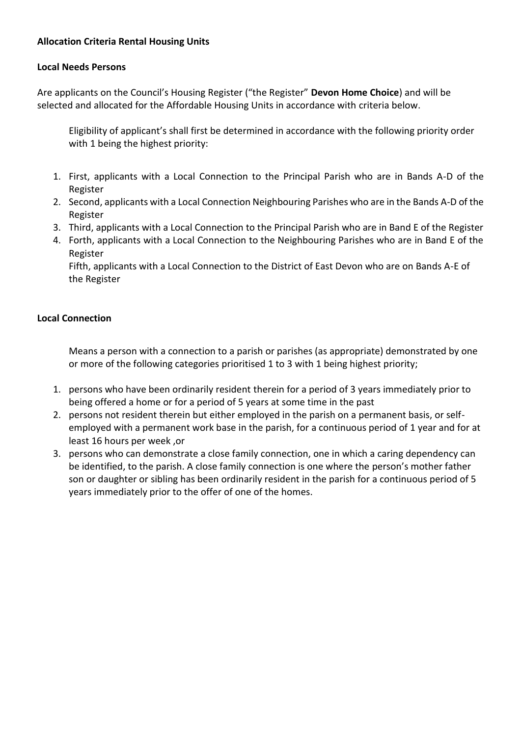# **Allocation Criteria Rental Housing Units**

#### **Local Needs Persons**

Are applicants on the Council's Housing Register ("the Register" **Devon Home Choice**) and will be selected and allocated for the Affordable Housing Units in accordance with criteria below.

Eligibility of applicant's shall first be determined in accordance with the following priority order with 1 being the highest priority:

- 1. First, applicants with a Local Connection to the Principal Parish who are in Bands A-D of the Register
- 2. Second, applicants with a Local Connection Neighbouring Parishes who are in the Bands A-D of the Register
- 3. Third, applicants with a Local Connection to the Principal Parish who are in Band E of the Register
- 4. Forth, applicants with a Local Connection to the Neighbouring Parishes who are in Band E of the Register

Fifth, applicants with a Local Connection to the District of East Devon who are on Bands A-E of the Register

# **Local Connection**

Means a person with a connection to a parish or parishes (as appropriate) demonstrated by one or more of the following categories prioritised 1 to 3 with 1 being highest priority;

- 1. persons who have been ordinarily resident therein for a period of 3 years immediately prior to being offered a home or for a period of 5 years at some time in the past
- 2. persons not resident therein but either employed in the parish on a permanent basis, or selfemployed with a permanent work base in the parish, for a continuous period of 1 year and for at least 16 hours per week ,or
- 3. persons who can demonstrate a close family connection, one in which a caring dependency can be identified, to the parish. A close family connection is one where the person's mother father son or daughter or sibling has been ordinarily resident in the parish for a continuous period of 5 years immediately prior to the offer of one of the homes.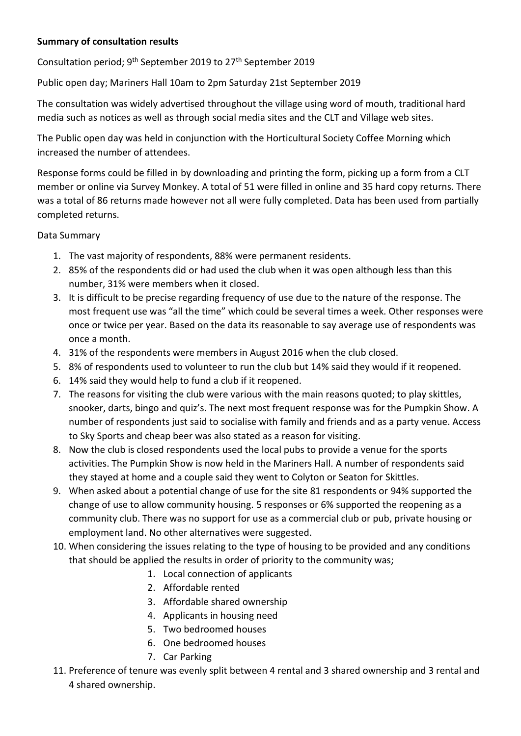# **Summary of consultation results**

Consultation period; 9<sup>th</sup> September 2019 to 27<sup>th</sup> September 2019

Public open day; Mariners Hall 10am to 2pm Saturday 21st September 2019

The consultation was widely advertised throughout the village using word of mouth, traditional hard media such as notices as well as through social media sites and the CLT and Village web sites.

The Public open day was held in conjunction with the Horticultural Society Coffee Morning which increased the number of attendees.

Response forms could be filled in by downloading and printing the form, picking up a form from a CLT member or online via Survey Monkey. A total of 51 were filled in online and 35 hard copy returns. There was a total of 86 returns made however not all were fully completed. Data has been used from partially completed returns.

# Data Summary

- 1. The vast majority of respondents, 88% were permanent residents.
- 2. 85% of the respondents did or had used the club when it was open although less than this number, 31% were members when it closed.
- 3. It is difficult to be precise regarding frequency of use due to the nature of the response. The most frequent use was "all the time" which could be several times a week. Other responses were once or twice per year. Based on the data its reasonable to say average use of respondents was once a month.
- 4. 31% of the respondents were members in August 2016 when the club closed.
- 5. 8% of respondents used to volunteer to run the club but 14% said they would if it reopened.
- 6. 14% said they would help to fund a club if it reopened.
- 7. The reasons for visiting the club were various with the main reasons quoted; to play skittles, snooker, darts, bingo and quiz's. The next most frequent response was for the Pumpkin Show. A number of respondents just said to socialise with family and friends and as a party venue. Access to Sky Sports and cheap beer was also stated as a reason for visiting.
- 8. Now the club is closed respondents used the local pubs to provide a venue for the sports activities. The Pumpkin Show is now held in the Mariners Hall. A number of respondents said they stayed at home and a couple said they went to Colyton or Seaton for Skittles.
- 9. When asked about a potential change of use for the site 81 respondents or 94% supported the change of use to allow community housing. 5 responses or 6% supported the reopening as a community club. There was no support for use as a commercial club or pub, private housing or employment land. No other alternatives were suggested.
- 10. When considering the issues relating to the type of housing to be provided and any conditions that should be applied the results in order of priority to the community was;
	- 1. Local connection of applicants
	- 2. Affordable rented
	- 3. Affordable shared ownership
	- 4. Applicants in housing need
	- 5. Two bedroomed houses
	- 6. One bedroomed houses
	- 7. Car Parking
- 11. Preference of tenure was evenly split between 4 rental and 3 shared ownership and 3 rental and 4 shared ownership.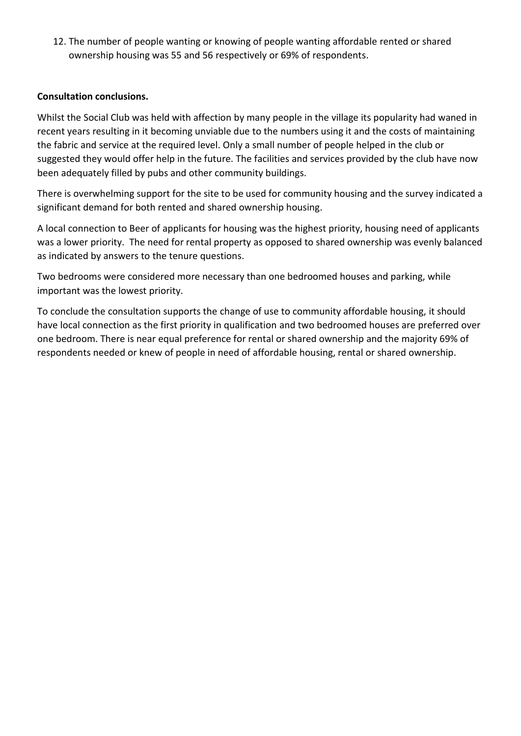12. The number of people wanting or knowing of people wanting affordable rented or shared ownership housing was 55 and 56 respectively or 69% of respondents.

## **Consultation conclusions.**

Whilst the Social Club was held with affection by many people in the village its popularity had waned in recent years resulting in it becoming unviable due to the numbers using it and the costs of maintaining the fabric and service at the required level. Only a small number of people helped in the club or suggested they would offer help in the future. The facilities and services provided by the club have now been adequately filled by pubs and other community buildings.

There is overwhelming support for the site to be used for community housing and the survey indicated a significant demand for both rented and shared ownership housing.

A local connection to Beer of applicants for housing was the highest priority, housing need of applicants was a lower priority. The need for rental property as opposed to shared ownership was evenly balanced as indicated by answers to the tenure questions.

Two bedrooms were considered more necessary than one bedroomed houses and parking, while important was the lowest priority.

To conclude the consultation supports the change of use to community affordable housing, it should have local connection as the first priority in qualification and two bedroomed houses are preferred over one bedroom. There is near equal preference for rental or shared ownership and the majority 69% of respondents needed or knew of people in need of affordable housing, rental or shared ownership.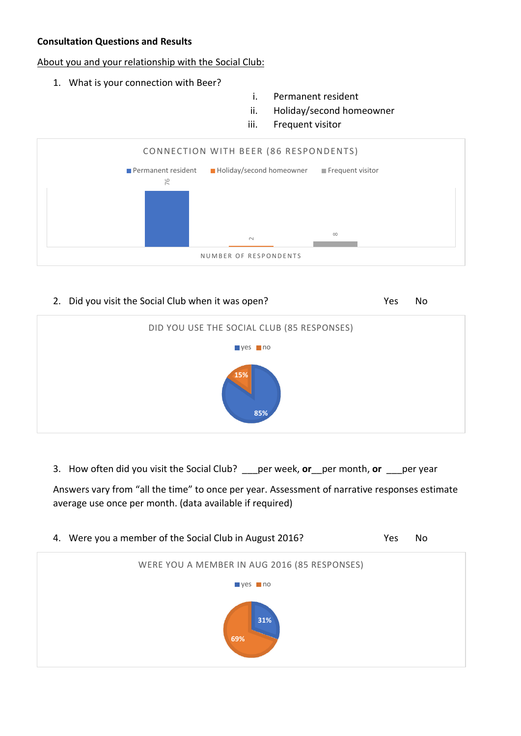# **Consultation Questions and Results**

## About you and your relationship with the Social Club:

- 1. What is your connection with Beer?
- i. Permanent resident
- ii. Holiday/second homeowner
- iii. Frequent visitor



#### 2. Did you visit the Social Club when it was open? The Most Club Wes No



3. How often did you visit the Social Club? \_\_\_per week, **or**\_\_per month, **or** \_\_\_per year

Answers vary from "all the time" to once per year. Assessment of narrative responses estimate average use once per month. (data available if required)

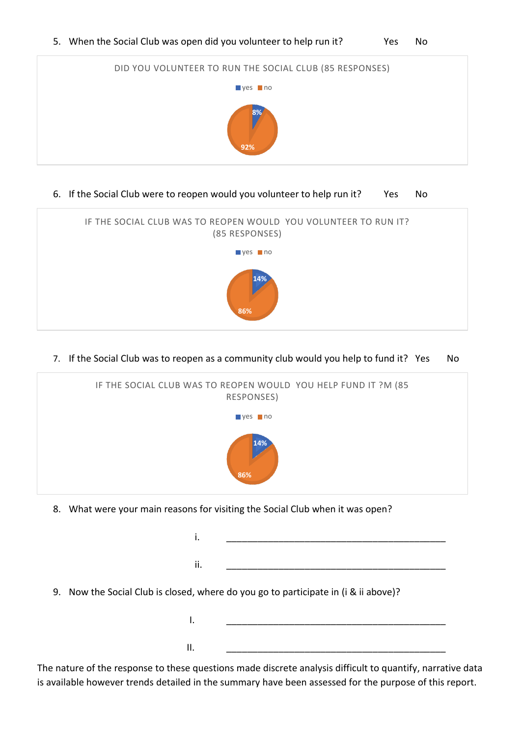5. When the Social Club was open did you volunteer to help run it? Yes No



6. If the Social Club were to reopen would you volunteer to help run it? Yes No



7. If the Social Club was to reopen as a community club would you help to fund it? Yes No



8. What were your main reasons for visiting the Social Club when it was open?

| ı.  |                                                                                                                                                                                                                                 |
|-----|---------------------------------------------------------------------------------------------------------------------------------------------------------------------------------------------------------------------------------|
| ii. |                                                                                                                                                                                                                                 |
|     | 9. Now the Social Club is closed, where do you go to participate in (i & ii above)?                                                                                                                                             |
| I.  |                                                                                                                                                                                                                                 |
| ΙΙ. |                                                                                                                                                                                                                                 |
|     | $\sim$ . The contract of the contract of the contract of the contract of the contract of the contract of the contract of the contract of the contract of the contract of the contract of the contract of the contract of the co |

The nature of the response to these questions made discrete analysis difficult to quantify, narrative data is available however trends detailed in the summary have been assessed for the purpose of this report.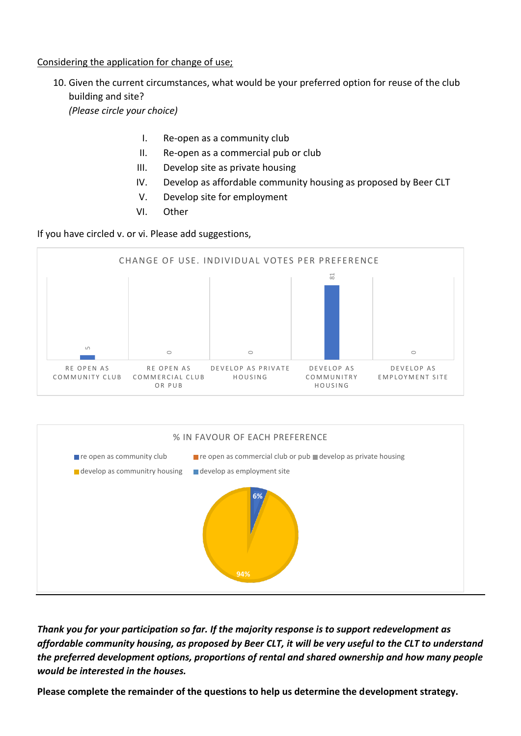# Considering the application for change of use;

10. Given the current circumstances, what would be your preferred option for reuse of the club building and site?

*(Please circle your choice)*

- I. Re-open as a community club
- II. Re-open as a commercial pub or club
- III. Develop site as private housing
- IV. Develop as affordable community housing as proposed by Beer CLT
- V. Develop site for employment
- VI. Other

If you have circled v. or vi. Please add suggestions,





*Thank you for your participation so far. If the majority response is to support redevelopment as affordable community housing, as proposed by Beer CLT, it will be very useful to the CLT to understand the preferred development options, proportions of rental and shared ownership and how many people would be interested in the houses.* 

**Please complete the remainder of the questions to help us determine the development strategy.**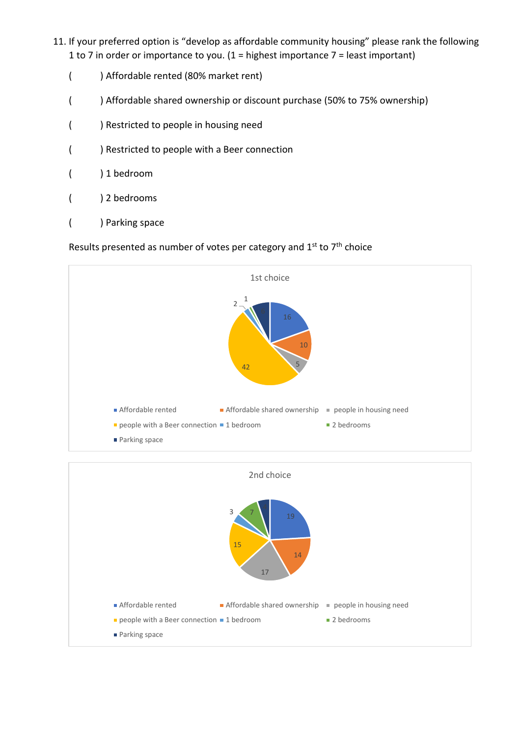- 11. If your preferred option is "develop as affordable community housing" please rank the following 1 to 7 in order or importance to you. (1 = highest importance 7 = least important)
	- ( ) Affordable rented (80% market rent)
	- ( ) Affordable shared ownership or discount purchase (50% to 75% ownership)
	- ( ) Restricted to people in housing need
	- ( ) Restricted to people with a Beer connection
	- ( ) 1 bedroom
	- ( ) 2 bedrooms
	- ( ) Parking space

Results presented as number of votes per category and  $1^{st}$  to  $7^{th}$  choice



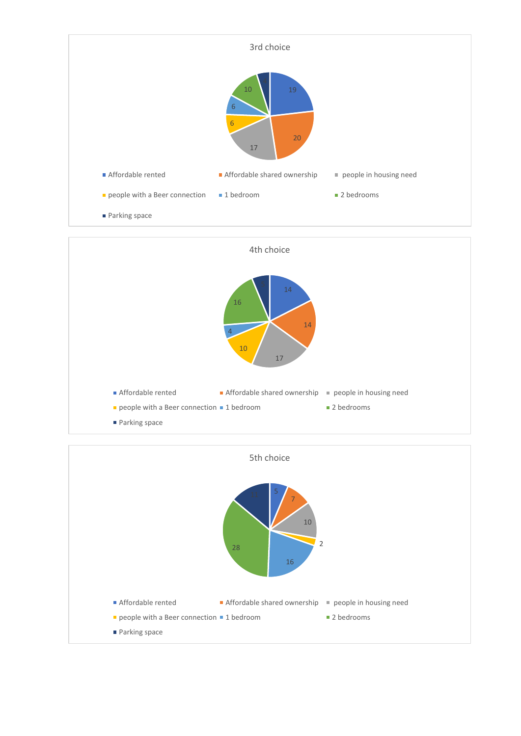



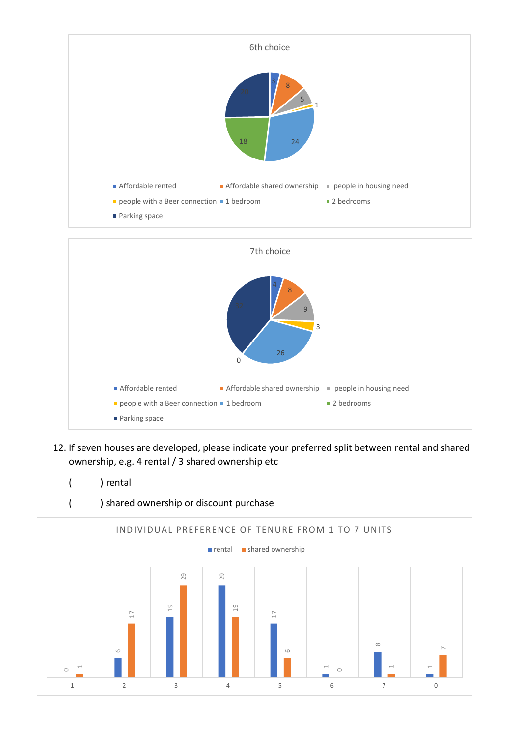

12. If seven houses are developed, please indicate your preferred split between rental and shared ownership, e.g. 4 rental / 3 shared ownership etc ■ Parking space

Affordable rented **Affordable shared ownership** people in housing need

**people with a Beer connection 1 bedroom** 2 bedrooms